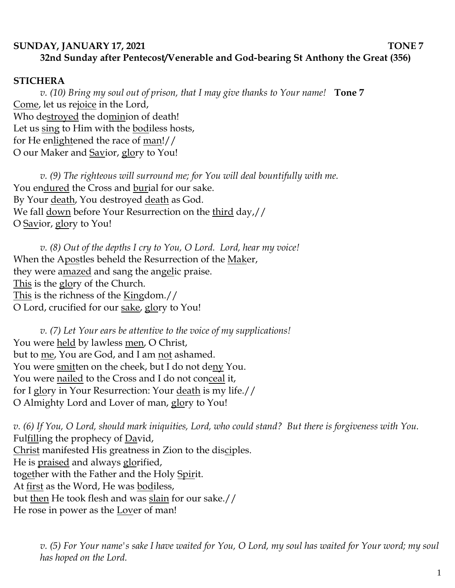## **SUNDAY, JANUARY 17, 2021 TONE 7 32nd Sunday after Pentecost/Venerable and God-bearing St Anthony the Great (356)**

### **STICHERA**

*v. (10) Bring my soul out of prison, that I may give thanks to Your name!* **Tone 7** Come, let us rejoice in the Lord, Who destroyed the dominion of death! Let us sing to Him with the bodiless hosts, for He enlightened the race of man!// O our Maker and Savior, glory to You!

*v. (9) The righteous will surround me; for You will deal bountifully with me.*  You endured the Cross and burial for our sake. By Your death, You destroyed death as God. We fall down before Your Resurrection on the third day,// O Savior, glory to You!

*v. (8) Out of the depths I cry to You, O Lord. Lord, hear my voice!*  When the Apostles beheld the Resurrection of the Maker, they were amazed and sang the angelic praise. This is the glory of the Church. This is the richness of the Kingdom.// O Lord, crucified for our sake, glory to You!

*v. (7) Let Your ears be attentive to the voice of my supplications!* You were held by lawless men, O Christ, but to me, You are God, and I am not ashamed. You were smitten on the cheek, but I do not deny You. You were <u>nailed</u> to the Cross and I do not conceal it, for I glory in Your Resurrection: Your death is my life.// O Almighty Lord and Lover of man, glory to You!

*v. (6) If You, O Lord, should mark iniquities, Lord, who could stand? But there is forgiveness with You.*  Fulfilling the prophecy of David, Christ manifested His greatness in Zion to the disciples. He is praised and always glorified, together with the Father and the Holy Spirit. At first as the Word, He was bodiless, but then He took flesh and was slain for our sake.// He rose in power as the Lover of man!

*v. (5) For Your name's sake I have waited for You, O Lord, my soul has waited for Your word; my soul has hoped on the Lord.*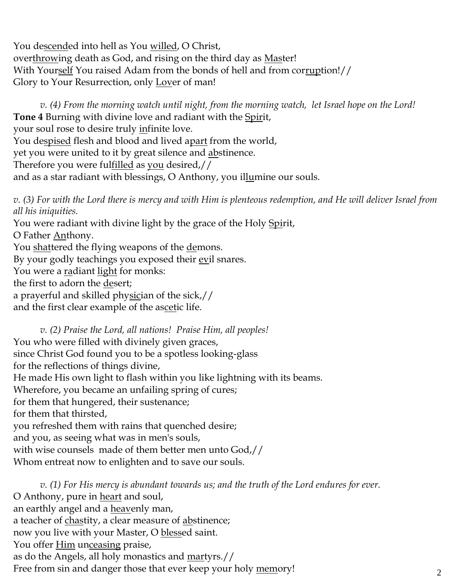You descended into hell as You willed, O Christ, overthrowing death as God, and rising on the third day as Master! With Yourself You raised Adam from the bonds of hell and from corruption!// Glory to Your Resurrection, only Lover of man!

*v. (4) From the morning watch until night, from the morning watch, let Israel hope on the Lord!* **Tone 4** Burning with divine love and radiant with the Spirit, your soul rose to desire truly infinite love. You despised flesh and blood and lived apart from the world, yet you were united to it by great silence and abstinence. Therefore you were fulfilled as you desired,// and as a star radiant with blessings, O Anthony, you illumine our souls.

*v. (3) For with the Lord there is mercy and with Him is plenteous redemption, and He will deliver Israel from all his iniquities.*

You were radiant with divine light by the grace of the Holy Spirit, O Father Anthony. You shattered the flying weapons of the demons. By your godly teachings you exposed their evil snares. You were a radiant light for monks: the first to adorn the desert; a prayerful and skilled physician of the sick,// and the first clear example of the ascetic life.

*v. (2) Praise the Lord, all nations! Praise Him, all peoples!* You who were filled with divinely given graces, since Christ God found you to be a spotless looking-glass for the reflections of things divine, He made His own light to flash within you like lightning with its beams. Wherefore, you became an unfailing spring of cures; for them that hungered, their sustenance; for them that thirsted, you refreshed them with rains that quenched desire; and you, as seeing what was in men's souls, with wise counsels made of them better men unto God,// Whom entreat now to enlighten and to save our souls.

*v. (1) For His mercy is abundant towards us; and the truth of the Lord endures for ever.*  O Anthony, pure in heart and soul, an earthly angel and a heavenly man, a teacher of chastity, a clear measure of abstinence; now you live with your Master, O blessed saint. You offer Him unceasing praise, as do the Angels, all holy monastics and martyrs.// Free from sin and danger those that ever keep your holy memory!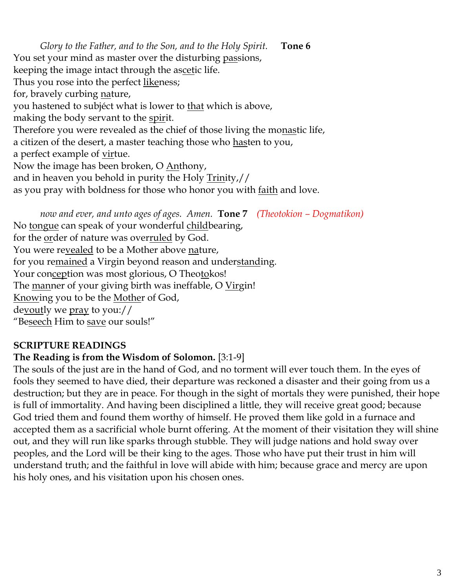*Glory to the Father, and to the Son, and to the Holy Spirit.* **Tone 6** You set your mind as master over the disturbing passions, keeping the image intact through the ascetic life. Thus you rose into the perfect likeness; for, bravely curbing nature, you hastened to subjéct what is lower to that which is above, making the body servant to the spirit. Therefore you were revealed as the chief of those living the monastic life, a citizen of the desert, a master teaching those who hasten to you, a perfect example of <u>vir</u>tue. Now the image has been broken, O Anthony, and in heaven you behold in purity the Holy Trinity,// as you pray with boldness for those who honor you with <u>faith</u> and love.

*now and ever, and unto ages of ages. Amen.* **Tone 7** *(Theotokion – Dogmatikon)* No tongue can speak of your wonderful childbearing, for the <u>or</u>der of nature was over<u>ruled</u> by God. You were revealed to be a Mother above nature, for you remained a Virgin beyond reason and understanding. Your conception was most glorious, O Theotokos! The <u>man</u>ner of your giving birth was ineffable, O Virgin! Knowing you to be the Mother of God, devoutly we pray to you:// "Beseech Him to save our souls!"

## **SCRIPTURE READINGS**

## **The Reading is from the Wisdom of Solomon.** [3:1-9]

The souls of the just are in the hand of God, and no torment will ever touch them. In the eyes of fools they seemed to have died, their departure was reckoned a disaster and their going from us a destruction; but they are in peace. For though in the sight of mortals they were punished, their hope is full of immortality. And having been disciplined a little, they will receive great good; because God tried them and found them worthy of himself. He proved them like gold in a furnace and accepted them as a sacrificial whole burnt offering. At the moment of their visitation they will shine out, and they will run like sparks through stubble. They will judge nations and hold sway over peoples, and the Lord will be their king to the ages. Those who have put their trust in him will understand truth; and the faithful in love will abide with him; because grace and mercy are upon his holy ones, and his visitation upon his chosen ones.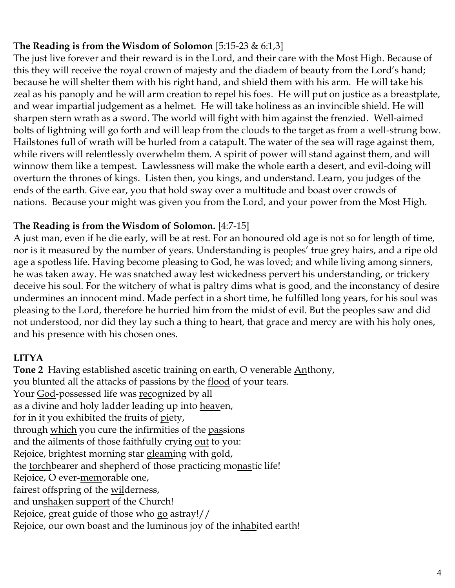# **The Reading is from the Wisdom of Solomon** [5:15-23 & 6:1,3]

The just live forever and their reward is in the Lord, and their care with the Most High. Because of this they will receive the royal crown of majesty and the diadem of beauty from the Lord's hand; because he will shelter them with his right hand, and shield them with his arm. He will take his zeal as his panoply and he will arm creation to repel his foes. He will put on justice as a breastplate, and wear impartial judgement as a helmet. He will take holiness as an invincible shield. He will sharpen stern wrath as a sword. The world will fight with him against the frenzied. Well-aimed bolts of lightning will go forth and will leap from the clouds to the target as from a well-strung bow. Hailstones full of wrath will be hurled from a catapult. The water of the sea will rage against them, while rivers will relentlessly overwhelm them. A spirit of power will stand against them, and will winnow them like a tempest. Lawlessness will make the whole earth a desert, and evil-doing will overturn the thrones of kings. Listen then, you kings, and understand. Learn, you judges of the ends of the earth. Give ear, you that hold sway over a multitude and boast over crowds of nations. Because your might was given you from the Lord, and your power from the Most High.

### **The Reading is from the Wisdom of Solomon.** [4:7-15]

A just man, even if he die early, will be at rest. For an honoured old age is not so for length of time, nor is it measured by the number of years. Understanding is peoples' true grey hairs, and a ripe old age a spotless life. Having become pleasing to God, he was loved; and while living among sinners, he was taken away. He was snatched away lest wickedness pervert his understanding, or trickery deceive his soul. For the witchery of what is paltry dims what is good, and the inconstancy of desire undermines an innocent mind. Made perfect in a short time, he fulfilled long years, for his soul was pleasing to the Lord, therefore he hurried him from the midst of evil. But the peoples saw and did not understood, nor did they lay such a thing to heart, that grace and mercy are with his holy ones, and his presence with his chosen ones.

## **LITYA**

**Tone 2**Having established ascetic training on earth, O venerable Anthony, you blunted all the attacks of passions by the <u>flood</u> of your tears. Your <u>God</u>-possessed life was <u>rec</u>ognized by all as a divine and holy ladder leading up into heaven, for in it you exhibited the fruits of piety, through which you cure the infirmities of the passions and the ailments of those faithfully crying out to you: Rejoice, brightest morning star gleaming with gold, the torchbearer and shepherd of those practicing monastic life! Rejoice, O ever-memorable one, fairest offspring of the wilderness, and unshaken support of the Church! Rejoice, great guide of those who go astray!// Rejoice, our own boast and the luminous joy of the inhabited earth!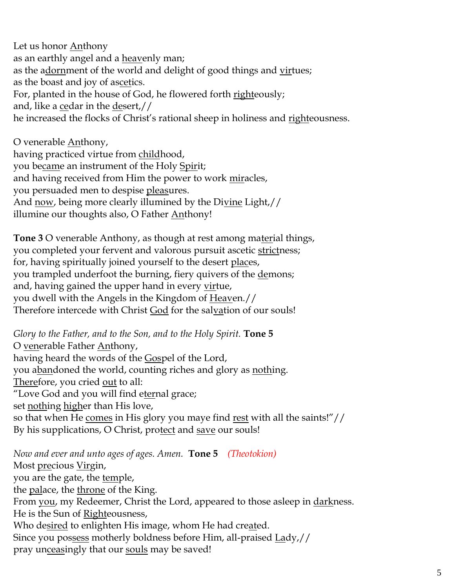Let us honor **Anthony** as an earthly angel and a heavenly man; as the adornment of the world and delight of good things and virtues; as the boast and joy of ascetics. For, planted in the house of God, he flowered forth righteously; and, like a cedar in the desert,// he increased the flocks of Christ's rational sheep in holiness and righteousness.

O venerable Anthony, having practiced virtue from childhood, you became an instrument of the Holy Spirit; and having received from Him the power to work <u>mir</u>acles, you persuaded men to despise <u>pleas</u>ures. And now, being more clearly illumined by the Divine Light,// illumine our thoughts also, O Father Anthony!

**Tone 3** O venerable Anthony, as though at rest among material things, you completed your fervent and valorous pursuit ascetic strictness; for, having spiritually joined yourself to the desert places, you trampled underfoot the burning, fiery quivers of the demons; and, having gained the upper hand in every virtue, you dwell with the Angels in the Kingdom of Heaven.// Therefore intercede with Christ God for the salvation of our souls!

*Glory to the Father, and to the Son, and to the Holy Spirit.* **Tone 5** O venerable Father Anthony, having heard the words of the Gospel of the Lord, you abandoned the world, counting riches and glory as nothing. Therefore, you cried out to all: "Love God and you will find eternal grace; set nothing higher than His love, so that when He comes in His glory you maye find rest with all the saints!"// By his supplications, O Christ, protect and save our souls!

*Now and ever and unto ages of ages. Amen.* **Tone 5** *(Theotokion)* Most precious Virgin, you are the gate, the temple, the palace, the throne of the King. From you, my Redeemer, Christ the Lord, appeared to those asleep in darkness. He is the Sun of Righteousness, Who desired to enlighten His image, whom He had created. Since you possess motherly boldness before Him, all-praised Lady,// pray unceasingly that our souls may be saved!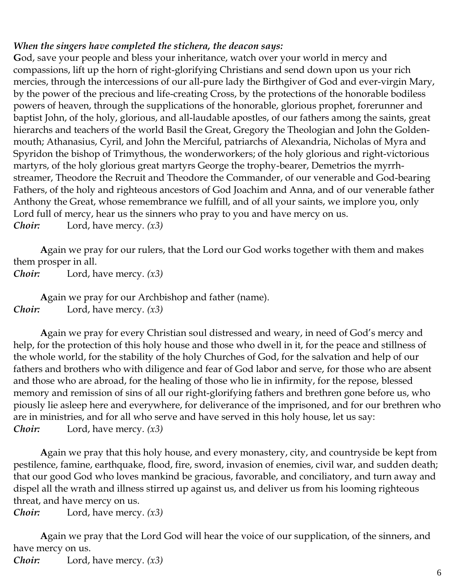### *When the singers have completed the stichera, the deacon says:*

**G**od, save your people and bless your inheritance, watch over your world in mercy and compassions, lift up the horn of right-glorifying Christians and send down upon us your rich mercies, through the intercessions of our all-pure lady the Birthgiver of God and ever-virgin Mary, by the power of the precious and life-creating Cross, by the protections of the honorable bodiless powers of heaven, through the supplications of the honorable, glorious prophet, forerunner and baptist John, of the holy, glorious, and all-laudable apostles, of our fathers among the saints, great hierarchs and teachers of the world Basil the Great, Gregory the Theologian and John the Goldenmouth; Athanasius, Cyril, and John the Merciful, patriarchs of Alexandria, Nicholas of Myra and Spyridon the bishop of Trimythous, the wonderworkers; of the holy glorious and right-victorious martyrs, of the holy glorious great martyrs George the trophy-bearer, Demetrios the myrrhstreamer, Theodore the Recruit and Theodore the Commander, of our venerable and God-bearing Fathers, of the holy and righteous ancestors of God Joachim and Anna, and of our venerable father Anthony the Great, whose remembrance we fulfill, and of all your saints, we implore you, only Lord full of mercy, hear us the sinners who pray to you and have mercy on us. *Choir:* Lord, have mercy. *(x3)*

**A**gain we pray for our rulers, that the Lord our God works together with them and makes them prosper in all.

*Choir:* Lord, have mercy. *(x3)*

**A**gain we pray for our Archbishop and father (name). *Choir:* Lord, have mercy. *(x3)*

**A**gain we pray for every Christian soul distressed and weary, in need of God's mercy and help, for the protection of this holy house and those who dwell in it, for the peace and stillness of the whole world, for the stability of the holy Churches of God, for the salvation and help of our fathers and brothers who with diligence and fear of God labor and serve, for those who are absent and those who are abroad, for the healing of those who lie in infirmity, for the repose, blessed memory and remission of sins of all our right-glorifying fathers and brethren gone before us, who piously lie asleep here and everywhere, for deliverance of the imprisoned, and for our brethren who are in ministries, and for all who serve and have served in this holy house, let us say: *Choir:* Lord, have mercy. *(x3)*

**A**gain we pray that this holy house, and every monastery, city, and countryside be kept from pestilence, famine, earthquake, flood, fire, sword, invasion of enemies, civil war, and sudden death; that our good God who loves mankind be gracious, favorable, and conciliatory, and turn away and dispel all the wrath and illness stirred up against us, and deliver us from his looming righteous threat, and have mercy on us.

*Choir:* Lord, have mercy. *(x3)*

**A**gain we pray that the Lord God will hear the voice of our supplication, of the sinners, and have mercy on us.

*Choir:* Lord, have mercy. *(x3)*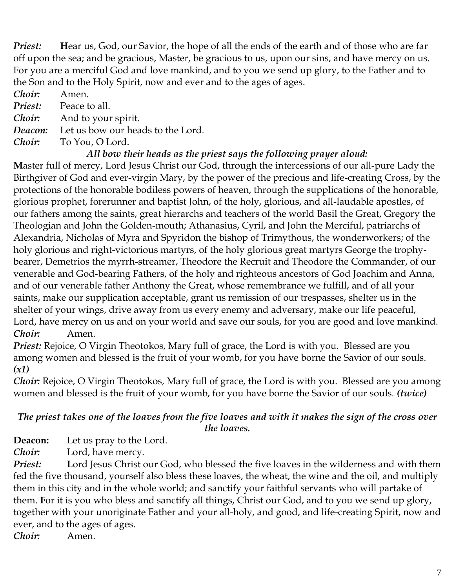*Priest:* **H**ear us, God, our Savior, the hope of all the ends of the earth and of those who are far off upon the sea; and be gracious, Master, be gracious to us, upon our sins, and have mercy on us. For you are a merciful God and love mankind, and to you we send up glory, to the Father and to the Son and to the Holy Spirit, now and ever and to the ages of ages.

*Choir:* Amen.

*Priest:* Peace to all.

*Choir:* And to your spirit.

*Deacon:* Let us bow our heads to the Lord.

*Choir:* To You, O Lord.

## *All bow their heads as the priest says the following prayer aloud:*

**M**aster full of mercy, Lord Jesus Christ our God, through the intercessions of our all-pure Lady the Birthgiver of God and ever-virgin Mary, by the power of the precious and life-creating Cross, by the protections of the honorable bodiless powers of heaven, through the supplications of the honorable, glorious prophet, forerunner and baptist John, of the holy, glorious, and all-laudable apostles, of our fathers among the saints, great hierarchs and teachers of the world Basil the Great, Gregory the Theologian and John the Golden-mouth; Athanasius, Cyril, and John the Merciful, patriarchs of Alexandria, Nicholas of Myra and Spyridon the bishop of Trimythous, the wonderworkers; of the holy glorious and right-victorious martyrs, of the holy glorious great martyrs George the trophybearer, Demetrios the myrrh-streamer, Theodore the Recruit and Theodore the Commander, of our venerable and God-bearing Fathers, of the holy and righteous ancestors of God Joachim and Anna, and of our venerable father Anthony the Great, whose remembrance we fulfill, and of all your saints, make our supplication acceptable, grant us remission of our trespasses, shelter us in the shelter of your wings, drive away from us every enemy and adversary, make our life peaceful, Lord, have mercy on us and on your world and save our souls, for you are good and love mankind. *Choir:* Amen.

*Priest:* Rejoice, O Virgin Theotokos, Mary full of grace, the Lord is with you. Blessed are you among women and blessed is the fruit of your womb, for you have borne the Savior of our souls. *(x1)*

*Choir:* Rejoice, O Virgin Theotokos, Mary full of grace, the Lord is with you. Blessed are you among women and blessed is the fruit of your womb, for you have borne the Savior of our souls. *(twice)*

# *The priest takes one of the loaves from the five loaves and with it makes the sign of the cross over the loaves.*

**Deacon:** Let us pray to the Lord.

*Choir:* Lord, have mercy.

*Priest:* **L**ord Jesus Christ our God, who blessed the five loaves in the wilderness and with them fed the five thousand, yourself also bless these loaves, the wheat, the wine and the oil, and multiply them in this city and in the whole world; and sanctify your faithful servants who will partake of them. **F**or it is you who bless and sanctify all things, Christ our God, and to you we send up glory, together with your unoriginate Father and your all-holy, and good, and life-creating Spirit, now and ever, and to the ages of ages. *Choir:* Amen.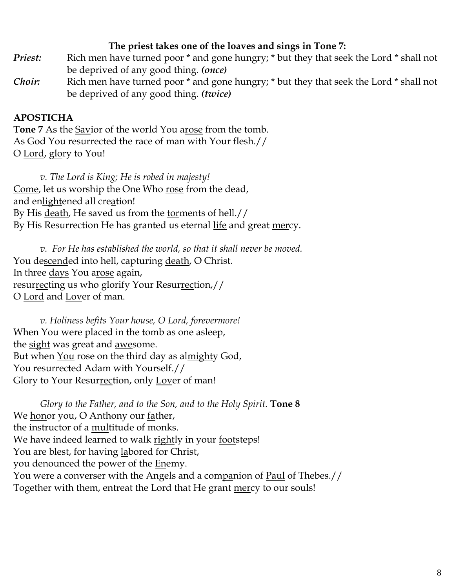### **The priest takes one of the loaves and sings in Tone 7:**

- *Priest:* Rich men have turned poor \* and gone hungry; \* but they that seek the Lord \* shall not be deprived of any good thing. *(once)*
- *Choir:* Rich men have turned poor \* and gone hungry; \* but they that seek the Lord \* shall not be deprived of any good thing. *(twice)*

# **APOSTICHA**

**Tone 7** As the Savior of the world You arose from the tomb. As God You resurrected the race of <u>man</u> with Your flesh.// O Lord, glory to You!

*v. The Lord is King; He is robed in majesty!*  Come, let us worship the One Who rose from the dead, and enlightened all creation! By His death, He saved us from the torments of hell.// By His Resurrection He has granted us eternal life and great mercy.

*v. For He has established the world, so that it shall never be moved.* You descended into hell, capturing death, O Christ. In three days You arose again, resurrecting us who glorify Your Resurrection,// O Lord and Lover of man.

*v. Holiness befits Your house, O Lord, forevermore!*  When You were placed in the tomb as one asleep, the sight was great and awesome. But when You rose on the third day as almighty God, You resurrected Adam with Yourself.// Glory to Your Resurrection, only Lover of man!

*Glory to the Father, and to the Son, and to the Holy Spirit.* **Tone 8** We honor you, O Anthony our father, the instructor of a multitude of monks. We have indeed learned to walk rightly in your footsteps! You are blest, for having labored for Christ, you denounced the power of the **Enemy**. You were a converser with the Angels and a companion of Paul of Thebes.// Together with them, entreat the Lord that He grant mercy to our souls!